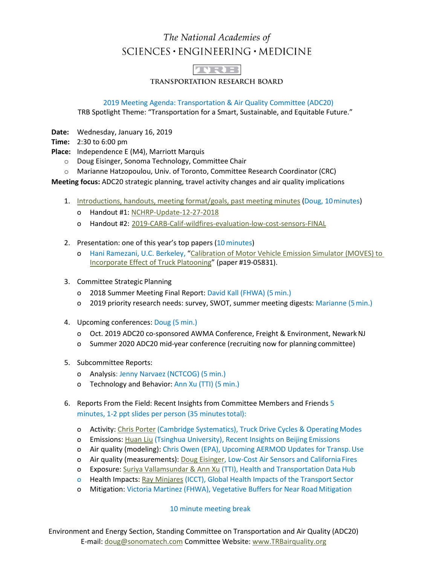## The National Academies of SCIENCES · ENGINEERING · MEDICINE



**TRANSPORTATION RESEARCH BOARD** 

2019 Meeting Agenda: Transportation & Air Quality Committee (ADC20)

TRB Spotlight Theme: "Transportation for a Smart, Sustainable, and Equitable Future."

**Date:** Wednesday, January 16, 2019

**Time:** 2:30 to 6:00 pm

**Place:** Independence E (M4), Marriott Marquis

- o Doug Eisinger, Sonoma Technology, Committee Chair
- o Marianne Hatzopoulou, Univ. of Toronto, Committee Research Coordinator (CRC)

**Meeting focus:** ADC20 strategic planning, travel activity changes and air quality implications

- 1. [Introductions, handouts, meeting format/goals, past meeting minutes](https://www.trbairquality.org/wp-content/uploads/2019/02/A1-Eisinger-ADC20-Full-Comm-mtg-ppts-Final-to-post-to-website.pdf) (Doug, 10minutes)
	- o Handout #1: [NCHRP-Update-12-27-2018](https://www.trbairquality.org/wp-content/uploads/2019/02/Handout-1-NCHRP-Update-12-27-2018.pdf)
	- o Handout #2: [2019-CARB-Calif-wildfires-evaluation-low-cost-sensors-FINAL](https://www.trbairquality.org/wp-content/uploads/2019/02/Handout-2-2019-CARB-Calif-wildfires-evaluation-low-cost-sensors-FINAL.pdf)
- 2. Presentation: one of this year's top papers (10 minutes)
	- o Hani Ramezani, U.C. Berkeley, ["Calibration of Motor Vehicle Emission Simulator \(MOVES\) to](https://www.trbairquality.org/wp-content/uploads/2019/02/A2-Ramezani-Truck-Platooning-FINAL.pdf)  [Incorporate Effect of Truck Platooning"](https://www.trbairquality.org/wp-content/uploads/2019/02/A2-Ramezani-Truck-Platooning-FINAL.pdf) (paper #19-05831).
- 3. Committee Strategic Planning
	- o 2018 Summer Meeting Final Report: David Kall (FHWA) (5 min.)
	- o 2019 priority research needs: survey, SWOT, summer meeting digests: Marianne (5min.)
- 4. Upcoming conferences: Doug (5 min.)
	- o Oct. 2019 ADC20 co-sponsored AWMA Conference, Freight & Environment, NewarkNJ
	- o Summer 2020 ADC20 mid-year conference (recruiting now for planning committee)
- 5. Subcommittee Reports:
	- o Analysis: Jenny Narvaez (NCTCOG) (5 min.)
	- o Technology and Behavior: Ann Xu (TTI) (5 min.)
- 6. Reports From the Field: Recent Insights from Committee Members and Friends 5 minutes, 1-2 ppt slides per person (35 minutes total):
	- o Activity: [Chris Porter](https://www.trbairquality.org/wp-content/uploads/2019/02/B1-Porter-Activity-Final.pdf) (Cambridge Systematics), Truck Drive Cycles & Operating Modes
	- o Emissions: [Huan Liu](https://www.trbairquality.org/wp-content/uploads/2019/02/B2-Emissions-Beijing-Lightning-Round_HuanLiu-Final.pdf) (Tsinghua University), Recent Insights on Beijing Emissions
	- o Air quality (modeling): Chris Owen (EPA), Upcoming AERMOD Updates for Transp.Use
	- o Air quality (measurements): [Doug Eisinger,](https://www.trbairquality.org/wp-content/uploads/2019/02/B4-AQ-Measurements-Lightning-Round-Eisinger-WIDESCREEN.pdf) Low-Cost Air Sensors and California Fires
	- o Exposure[: Suriya Vallamsundar & Ann Xu](https://www.trbairquality.org/wp-content/uploads/2019/02/B5-Exposure_Vallamsundar_Xu-FINAL.pdf) (TTI), Health and Transportation Data Hub
	- o Health Impacts[: Ray Minjares](https://www.trbairquality.org/wp-content/uploads/2019/02/B6-Minjares-Health-FINAL.pdf) (ICCT), Global Health Impacts of the Transport Sector
	- o Mitigation: Victoria Martinez (FHWA), Vegetative Buffers for Near RoadMitigation

10 minute meeting break

Environment and Energy Section, Standing Committee on Transportation and Air Quality (ADC20) E-mail: doug@sonomatech.com Committee Website: www.TRBairquality.org